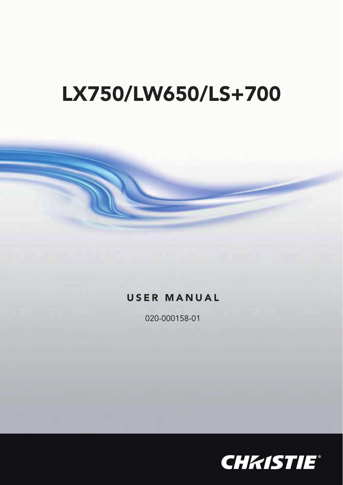# **LX750/LW650/LS+700**

### **USER MANUAL**

020-000158-01

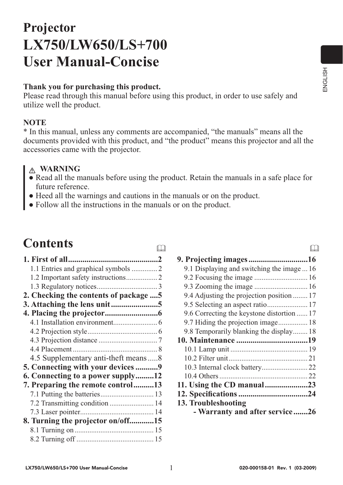$\Box$ 

## **Projector LX750/LW650/LS+700 User Manual-oncise**

#### **Thank you for purchasing this product.**

Please read through this manual before using this product, in order to use safely and utilize well the product.

#### **NOTE**

\* In this manual, unless any comments are accompanied, "the manuals" means all the documents provided with this product, and "the product" means this projector and all the accessories came with the projector.

#### **WARNING**

● Read all the manuals before using the product. Retain the manuals in a safe place for future reference.

 $\square$ 

- Heed all the warnings and cautions in the manuals or on the product.
- Follow all the instructions in the manuals or on the product.

## **Contents**

| 1.1 Entries and graphical symbols  2   |  |
|----------------------------------------|--|
| 1.2 Important safety instructions 2    |  |
|                                        |  |
| 2. Checking the contents of package  5 |  |
| 3. Attaching the lens unit5            |  |
|                                        |  |
|                                        |  |
|                                        |  |
|                                        |  |
|                                        |  |
| 4.5 Supplementary anti-theft means 8   |  |
| 5. Connecting with your devices 9      |  |
| 6. Connecting to a power supply12      |  |
| 7. Preparing the remote control13      |  |
|                                        |  |
| 7.2 Transmitting condition  14         |  |
|                                        |  |
| 8. Turning the projector on/off15      |  |
|                                        |  |
|                                        |  |
|                                        |  |

| 9.1 Displaying and switching the image  16 |
|--------------------------------------------|
| 9.2 Focusing the image  16                 |
| 9.3 Zooming the image  16                  |
| 9.4 Adjusting the projection position  17  |
| 9.5 Selecting an aspect ratio 17           |
| 9.6 Correcting the keystone distortion  17 |
| 9.7 Hiding the projection image 18         |
| 9.8 Temporarily blanking the display 18    |
|                                            |
|                                            |
|                                            |
|                                            |
|                                            |
| 11. Using the CD manual23                  |
|                                            |
| 13. Troubleshooting                        |
| - Warranty and after service26             |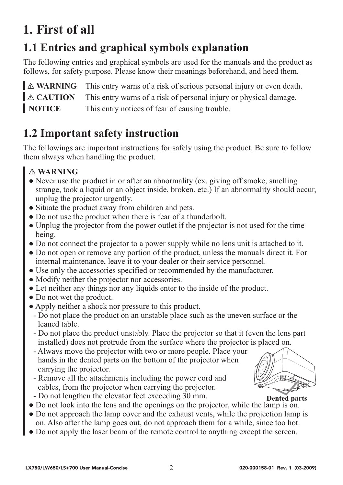## **1. First of all**

## **1.1 Entries and graphical symbols explanation**

The following entries and graphical symbols are used for the manuals and the product as follows, for safety purpose. Please know their meanings beforehand, and heed them.

**A WARNING** This entry warns of a risk of serious personal injury or even death.  $\triangle$  **CAUTION** This entry warns of a risk of personal injury or physical damage. **NOTICE** This entry notices of fear of causing trouble.

### **1.2 Important safety instruction**

The followings are important instructions for safely using the product. Be sure to follow them always when handling the product.

- Never use the product in or after an abnormality (ex. giving off smoke, smelling strange, took a liquid or an object inside, broken, etc.) If an abnormality should occur, unplug the projector urgently.
- Situate the product away from children and pets.
- Do not use the product when there is fear of a thunderbolt.
- Unplug the projector from the power outlet if the projector is not used for the time being.
- Do not connect the projector to a power supply while no lens unit is attached to it.
- Do not open or remove any portion of the product, unless the manuals direct it. For internal maintenance, leave it to your dealer or their service personnel.
- Use only the accessories specified or recommended by the manufacturer.
- Modify neither the projector nor accessories.
- Let neither any things nor any liquids enter to the inside of the product.
- Do not wet the product.
- Apply neither a shock nor pressure to this product.
	- Do not place the product on an unstable place such as the uneven surface or the leaned table.
	- Do not place the product unstably. Place the projector so that it (even the lens part installed) does not protrude from the surface where the projector is placed on.
	- Always move the projector with two or more people. Place your hands in the dented parts on the bottom of the projector when carrying the projector.
	- Remove all the attachments including the power cord and cables, from the projector when carrying the projector. - Do not lengthen the elevator feet exceeding 30 mm.



**Dented parts**

- Do not look into the lens and the openings on the projector, while the lamp is on.
- Do not approach the lamp cover and the exhaust vents, while the projection lamp is on. Also after the lamp goes out, do not approach them for a while, since too hot.
- Do not apply the laser beam of the remote control to anything except the screen.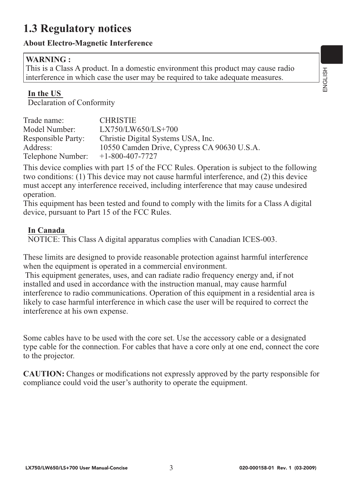### **1.3 Regulatory notices**

#### **About Electro-Magnetic Interference**

#### **WARNING :**

This is a Class A product. In a domestic environment this product may cause radio interference in which case the user may be required to take adequate measures.

#### **In the US**

Declaration of Conformity

| Trade name:               | <b>CHRISTIE</b>                             |
|---------------------------|---------------------------------------------|
| Model Number:             | $LX750/LW650/LS+700$                        |
| <b>Responsible Party:</b> | Christie Digital Systems USA, Inc.          |
| Address:                  | 10550 Camden Drive, Cypress CA 90630 U.S.A. |
| Telephone Number:         | $+1-800-407-7727$                           |

This device complies with part 15 of the FCC Rules. Operation is subject to the following two conditions: (1) This device may not cause harmful interference, and (2) this device must accept any interference received, including interference that may cause undesired operation.

This equipment has been tested and found to comply with the limits for a Class A digital device, pursuant to Part 15 of the FCC Rules.

#### **In Canada**

NOTICE: This Class A digital apparatus complies with Canadian ICES-003.

These limits are designed to provide reasonable protection against harmful interference when the equipment is operated in a commercial environment.

 This equipment generates, uses, and can radiate radio frequency energy and, if not installed and used in accordance with the instruction manual, may cause harmful interference to radio communications. Operation of this equipment in a residential area is likely to case harmful interference in which case the user will be required to correct the interference at his own expense.

Some cables have to be used with the core set. Use the accessory cable or a designated type cable for the connection. For cables that have a core only at one end, connect the core to the projector.

**CAUTION:** Changes or modifications not expressly approved by the party responsible for compliance could void the user's authority to operate the equipment.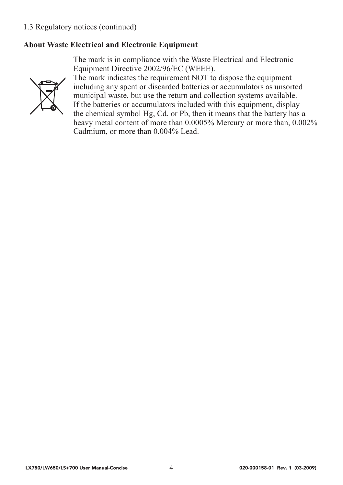#### 1.3 Regulatory notices (continued)

#### **About Waste Electrical and Electronic Equipment**

The mark is in compliance with the Waste Electrical and Electronic Equipment Directive 2002/96/EC (WEEE).



The mark indicates the requirement NOT to dispose the equipment including any spent or discarded batteries or accumulators as unsorted municipal waste, but use the return and collection systems available. If the batteries or accumulators included with this equipment, display the chemical symbol Hg, Cd, or Pb, then it means that the battery has a heavy metal content of more than 0.0005% Mercury or more than, 0.002% Cadmium, or more than 0.004% Lead.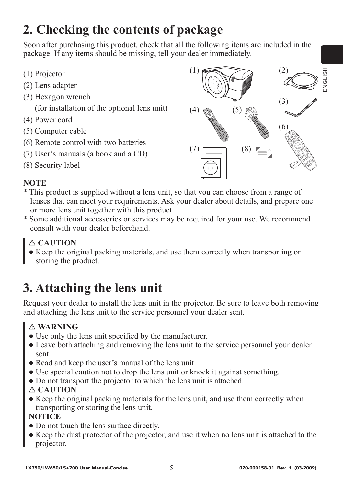## **2. Checking the contents of package**

Soon after purchasing this product, check that all the following items are included in the package. If any items should be missing, tell your dealer immediately.

- (1) Projector
- (2) Lens adapter
- (3) Hexagon wrench

(for installation of the optional lens unit)

- (4) Power cord
- (5) Computer cable
- (6) Remote control with two batteries
- (7) User's manuals (a book and a CD)
- (8) Security label



#### **NOTE**

- \* This product is supplied without a lens unit, so that you can choose from a range of lenses that can meet your requirements. Ask your dealer about details, and prepare one or more lens unit together with this product.
- \* Some additional accessories or services may be required for your use. We recommend consult with your dealer beforehand.

#### **CAUTION**

● Keep the original packing materials, and use them correctly when transporting or storing the product.

## **3. Attaching the lens unit**

Request your dealer to install the lens unit in the projector. Be sure to leave both removing and attaching the lens unit to the service personnel your dealer sent.

#### **WARNING**

- Use only the lens unit specified by the manufacturer.
- Leave both attaching and removing the lens unit to the service personnel your dealer sent.
- Read and keep the user's manual of the lens unit.
- Use special caution not to drop the lens unit or knock it against something.
- Do not transport the projector to which the lens unit is attached.

#### **CAUTION**

• Keep the original packing materials for the lens unit, and use them correctly when transporting or storing the lens unit.

#### **NOTICE**

- Do not touch the lens surface directly.
- Keep the dust protector of the projector, and use it when no lens unit is attached to the projector.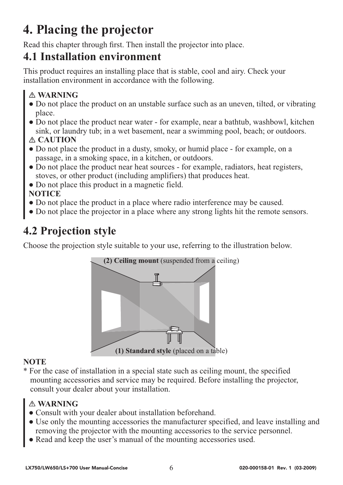## **4. Placing the projector**

Read this chapter through first. Then install the projector into place.

### **4.1 Installation environment**

This product requires an installing place that is stable, cool and airy. Check your installation environment in accordance with the following.

#### **WARNING**

- Do not place the product on an unstable surface such as an uneven, tilted, or vibrating place.
- Do not place the product near water for example, near a bathtub, washbowl, kitchen sink, or laundry tub; in a wet basement, near a swimming pool, beach; or outdoors.

#### **CAUTION**

- Do not place the product in a dusty, smoky, or humid place for example, on a passage, in a smoking space, in a kitchen, or outdoors.
- Do not place the product near heat sources for example, radiators, heat registers, stoves, or other product (including amplifiers) that produces heat.
- Do not place this product in a magnetic field.

#### **NOTICE**

- Do not place the product in a place where radio interference may be caused.
- Do not place the projector in a place where any strong lights hit the remote sensors.

### **4.2 Projection style**

Choose the projection style suitable to your use, referring to the illustration below.



#### **NOTE**

\* For the case of installation in a special state such as ceiling mount, the specified mounting accessories and service may be required. Before installing the projector, consult your dealer about your installation.

- Consult with your dealer about installation beforehand.
- Use only the mounting accessories the manufacturer specified, and leave installing and removing the projector with the mounting accessories to the service personnel.
- Read and keep the user's manual of the mounting accessories used.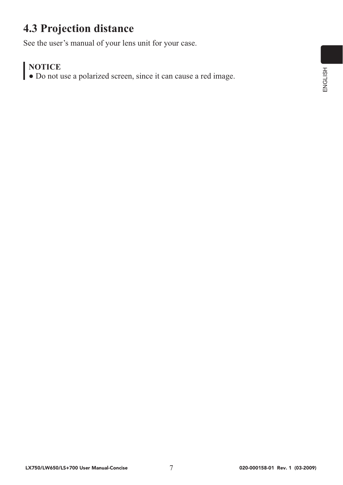### **4.3 Projection distance**

See the user's manual of your lens unit for your case.

#### **NOTICE**

● Do not use a polarized screen, since it can cause a red image.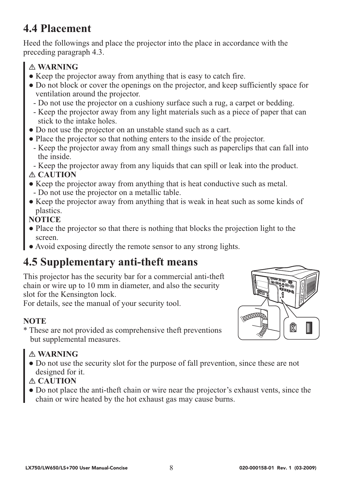### **4.4 Placement**

Heed the followings and place the projector into the place in accordance with the preceding paragraph 4.3.

#### **WARNING**

- Keep the projector away from anything that is easy to catch fire.
- Do not block or cover the openings on the projector, and keep sufficiently space for ventilation around the projector.
	- Do not use the projector on a cushiony surface such a rug, a carpet or bedding.
	- Keep the projector away from any light materials such as a piece of paper that can stick to the intake holes.
- Do not use the projector on an unstable stand such as a cart.
- Place the projector so that nothing enters to the inside of the projector.
- Keep the projector away from any small things such as paperclips that can fall into the inside.

- Keep the projector away from any liquids that can spill or leak into the product.

#### **CAUTION**

- Keep the projector away from anything that is heat conductive such as metal.
	- Do not use the projector on a metallic table.
- Keep the projector away from anything that is weak in heat such as some kinds of plastics.

#### **NOTICE**

- Place the projector so that there is nothing that blocks the projection light to the screen.
- Avoid exposing directly the remote sensor to any strong lights.

### **4.5 Supplementary anti-theft means**

This projector has the security bar for a commercial anti-theft chain or wire up to 10 mm in diameter, and also the security slot for the Kensington lock.

For details, see the manual of your security tool.

#### **NOTE**

\* These are not provided as comprehensive theft preventions but supplemental measures.

#### **WARNING**

● Do not use the security slot for the purpose of fall prevention, since these are not designed for it.

#### **CAUTION**

● Do not place the anti-theft chain or wire near the projector's exhaust vents, since the chain or wire heated by the hot exhaust gas may cause burns.

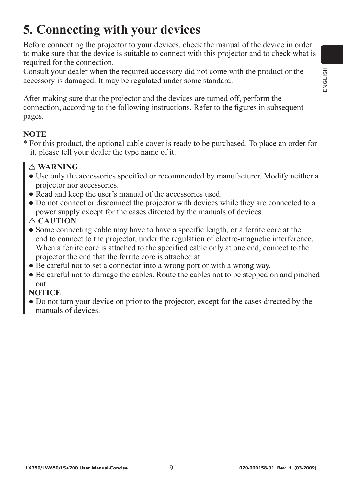## **5. Connecting with your devices**

Before connecting the projector to your devices, check the manual of the device in order to make sure that the device is suitable to connect with this projector and to check what is required for the connection.

Consult your dealer when the required accessory did not come with the product or the accessory is damaged. It may be regulated under some standard.

After making sure that the projector and the devices are turned off, perform the connection, according to the following instructions. Refer to the figures in subsequent pages.

#### **NOTE**

\* For this product, the optional cable cover is ready to be purchased. To place an order for it, please tell your dealer the type name of it.

#### **WARNING**

- Use only the accessories specified or recommended by manufacturer. Modify neither a projector nor accessories.
- Read and keep the user's manual of the accessories used.
- Do not connect or disconnect the projector with devices while they are connected to a power supply except for the cases directed by the manuals of devices.

#### **CAUTION**

- Some connecting cable may have to have a specific length, or a ferrite core at the end to connect to the projector, under the regulation of electro-magnetic interference. When a ferrite core is attached to the specified cable only at one end, connect to the projector the end that the ferrite core is attached at.
- Be careful not to set a connector into a wrong port or with a wrong way.
- Be careful not to damage the cables. Route the cables not to be stepped on and pinched out.

#### **NOTICE**

● Do not turn your device on prior to the projector, except for the cases directed by the manuals of devices.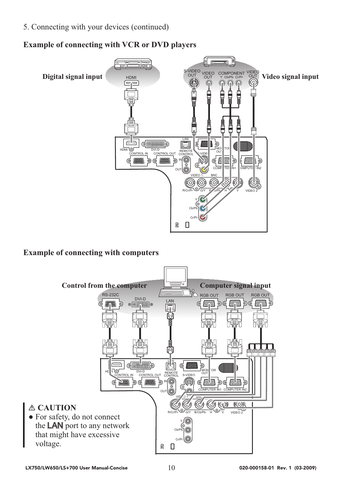5. Connecting with your devices (continued)

#### **Example of connecting with VCR or DVD players**



#### **Example of connecting with computers**

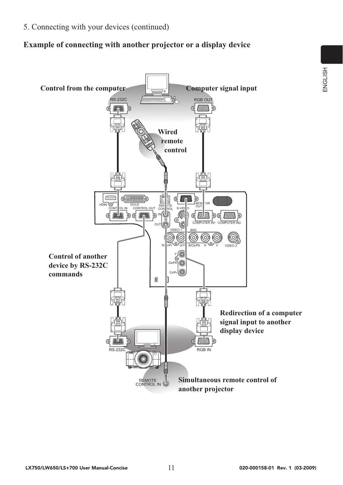5. Connecting with your devices (continued)

#### **Example of connecting with another projector or a display device**

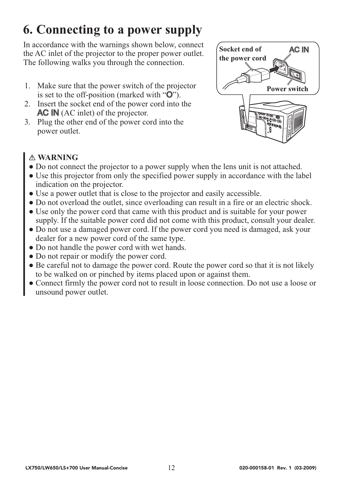## **6. Connecting to a power supply**

In accordance with the warnings shown below, connect the AC inlet of the projector to the proper power outlet. The following walks you through the connection.

- 1. Make sure that the power switch of the projector is set to the off-position (marked with "O").
- 2. Insert the socket end of the power cord into the AC IN (AC inlet) of the projector.
- 3. Plug the other end of the power cord into the power outlet.



- Do not connect the projector to a power supply when the lens unit is not attached.
- Use this projector from only the specified power supply in accordance with the label indication on the projector.
- Use a power outlet that is close to the projector and easily accessible.
- Do not overload the outlet, since overloading can result in a fire or an electric shock.
- Use only the power cord that came with this product and is suitable for your power supply. If the suitable power cord did not come with this product, consult your dealer.
- Do not use a damaged power cord. If the power cord you need is damaged, ask your dealer for a new power cord of the same type.
- Do not handle the power cord with wet hands.
- Do not repair or modify the power cord.
- Be careful not to damage the power cord. Route the power cord so that it is not likely to be walked on or pinched by items placed upon or against them.
- Connect firmly the power cord not to result in loose connection. Do not use a loose or unsound power outlet.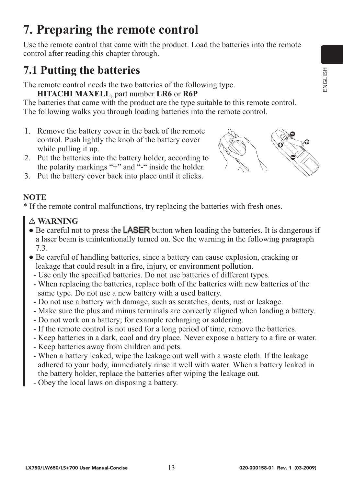## **7. Preparing the remote control**

Use the remote control that came with the product. Load the batteries into the remote control after reading this chapter through.

## **7.1 Putting the batteries**

The remote control needs the two batteries of the following type.

#### **HITACHI MAXELL**, part number **LR6** or **R6P**

The batteries that came with the product are the type suitable to this remote control. The following walks you through loading batteries into the remote control.

- 1. Remove the battery cover in the back of the remote control. Push lightly the knob of the battery cover while pulling it up.
- 2. Put the batteries into the battery holder, according to the polarity markings "+" and "-" inside the holder.
- 3. Put the battery cover back into place until it clicks.

#### **NOTE**

\* If the remote control malfunctions, try replacing the batteries with fresh ones.

- Be careful not to press the **LASER** button when loading the batteries. It is dangerous if a laser beam is unintentionally turned on. See the warning in the following paragraph 7.3.
- Be careful of handling batteries, since a battery can cause explosion, cracking or leakage that could result in a fire, injury, or environment pollution.
	- Use only the specified batteries. Do not use batteries of different types.
	- When replacing the batteries, replace both of the batteries with new batteries of the same type. Do not use a new battery with a used battery.
	- Do not use a battery with damage, such as scratches, dents, rust or leakage.
	- Make sure the plus and minus terminals are correctly aligned when loading a battery.
	- Do not work on a battery; for example recharging or soldering.
	- If the remote control is not used for a long period of time, remove the batteries.
	- Keep batteries in a dark, cool and dry place. Never expose a battery to a fire or water.
	- Keep batteries away from children and pets.
	- When a battery leaked, wipe the leakage out well with a waste cloth. If the leakage adhered to your body, immediately rinse it well with water. When a battery leaked in the battery holder, replace the batteries after wiping the leakage out.
	- Obey the local laws on disposing a battery.

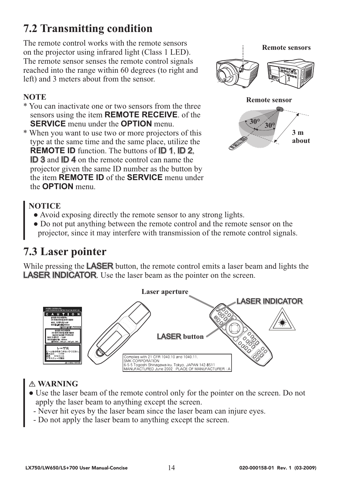### **7.2 Transmitting condition**

The remote control works with the remote sensors on the projector using infrared light (Class 1 LED). The remote sensor senses the remote control signals reached into the range within 60 degrees (to right and left) and 3 meters about from the sensor.

#### **NOTE**

- \* You can inactivate one or two sensors from the three sensors using the item **REMOTE RECEIVE**. of the **SERVICE** menu under the **OPTION** menu.
- \* When you want to use two or more projectors of this type at the same time and the same place, utilize the **REMOTE ID** function. The buttons of **ID 1, ID 2**, ID 3 and ID 4 on the remote control can name the projector given the same ID number as the button by the item **REMOTE ID** of the **SERVICE** menu under the **OPTION** menu.



#### **NOTICE**

- Avoid exposing directly the remote sensor to any strong lights.
- Do not put anything between the remote control and the remote sensor on the projector, since it may interfere with transmission of the remote control signals.

### **7.3 Laser pointer**

While pressing the **LASER** button, the remote control emits a laser beam and lights the LASER INDICATOR. Use the laser beam as the pointer on the screen.



- Use the laser beam of the remote control only for the pointer on the screen. Do not apply the laser beam to anything except the screen.
	- Never hit eyes by the laser beam since the laser beam can injure eyes.
	- Do not apply the laser beam to anything except the screen.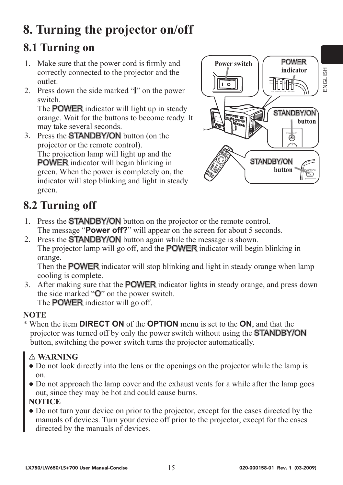## **8. Turning the projector on/off**

### **8.1 Turning on**

- 1. Make sure that the power cord is firmly and correctly connected to the projector and the outlet.
- 2. Press down the side marked "I" on the power switch.

The **POWER** indicator will light up in steady orange. Wait for the buttons to become ready. It may take several seconds.

3. Press the STANDBY/ON button (on the projector or the remote control). The projection lamp will light up and the POWER indicator will begin blinking in green. When the power is completely on, the indicator will stop blinking and light in steady green.



## **8.2 Turning off**

- 1. Press the **STANDBY/ON** button on the projector or the remote control. The message "**Power off?**" will appear on the screen for about 5 seconds.
- 2. Press the STANDBY/ON button again while the message is shown. The projector lamp will go off, and the POWER indicator will begin blinking in orange.

Then the **POWER** indicator will stop blinking and light in steady orange when lamp cooling is complete.

3. After making sure that the POWER indicator lights in steady orange, and press down the side marked "O" on the power switch. The **POWER** indicator will go off.

#### **NOTE**

\* When the item **DIRECT ON** of the **OPTION** menu is set to the **ON**, and that the projector was turned off by only the power switch without using the **STANDBY/ON** button, switching the power switch turns the projector automatically.

#### **WARNING**

- Do not look directly into the lens or the openings on the projector while the lamp is on.
- Do not approach the lamp cover and the exhaust vents for a while after the lamp goes out, since they may be hot and could cause burns.

#### **NOTICE**

● Do not turn your device on prior to the projector, except for the cases directed by the manuals of devices. Turn your device off prior to the projector, except for the cases directed by the manuals of devices.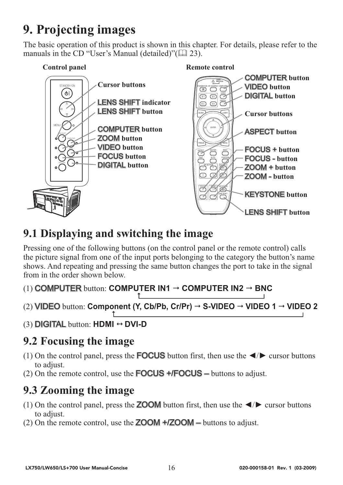## **9. Projecting images**

The basic operation of this product is shown in this chapter. For details, please refer to the manuals in the CD "User's Manual (detailed)"( $\Box$  23).



### **9.1 Displaying and switching the image**

Pressing one of the following buttons (on the control panel or the remote control) calls the picture signal from one of the input ports belonging to the category the button's name shows. And repeating and pressing the same button changes the port to take in the signal from in the order shown below.

```
(1) COMPUTER button: COMPUTER IN1 \rightarrow COMPUTER IN2 \rightarrow BNC
```
- (2) **VIDEO** button: Component (Y, Cb/Pb, Cr/Pr) → S-VIDEO → VIDEO 1 → VIDEO 2
- (3) DIGITAL button: **HDMI DVI-D**

### **9.2 Focusing the image**

- (1) On the control panel, press the **FOCUS** button first, then use the  $\blacktriangleleft/\blacktriangleright$  cursor buttons to adjust.
- (2) On the remote control, use the FOCUS +**/**FOCUS buttons to adjust.

### **9.3 Zooming the image**

- (1) On the control panel, press the **ZOOM** button first, then use the  $\blacktriangleleft/\blacktriangleright$  cursor buttons to adjust.
- (2) On the remote control, use the ZOOM +**/**ZOOM buttons to adjust.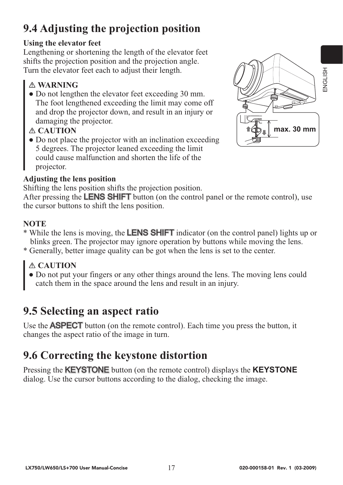## **9.4 Adjusting the projection position**

#### **Using the elevator feet**

Lengthening or shortening the length of the elevator feet shifts the projection position and the projection angle. Turn the elevator feet each to adjust their length.

#### **WARNING**

• Do not lengthen the elevator feet exceeding 30 mm. The foot lengthened exceeding the limit may come off and drop the projector down, and result in an injury or damaging the projector.

#### **CAUTION**

• Do not place the projector with an inclination exceeding 5 degrees. The projector leaned exceeding the limit could cause malfunction and shorten the life of the projector.

#### **Adjusting the lens position**

Shifting the lens position shifts the projection position.

After pressing the **LENS SHIFT** button (on the control panel or the remote control), use the cursor buttons to shift the lens position.

#### **NOTE**

- \* While the lens is moving, the LENS SHIFT indicator (on the control panel) lights up or blinks green. The projector may ignore operation by buttons while moving the lens.
- \* Generally, better image quality can be got when the lens is set to the center.

#### **CAUTION**

● Do not put your fingers or any other things around the lens. The moving lens could catch them in the space around the lens and result in an injury.

### **9.5 Selecting an aspect ratio**

Use the **ASPECT** button (on the remote control). Each time you press the button, it changes the aspect ratio of the image in turn.

## **9.6 Correcting the keystone distortion**

Pressing the KEYSTONE button (on the remote control) displays the **KEYSTONE**  dialog. Use the cursor buttons according to the dialog, checking the image.

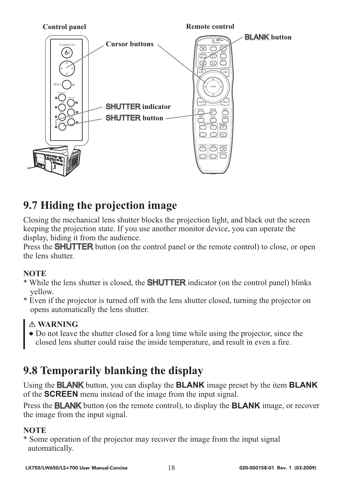

### **9.7 Hiding the projection image**

Closing the mechanical lens shutter blocks the projection light, and black out the screen keeping the projection state. If you use another monitor device, you can operate the display, hiding it from the audience.

Press the **SHUTTER** button (on the control panel or the remote control) to close, or open the lens shutter.

#### **NOTE**

- \* While the lens shutter is closed, the SHUTTER indicator (on the control panel) blinks yellow.
- \* Even if the projector is turned off with the lens shutter closed, turning the projector on opens automatically the lens shutter.

#### **WARNING**

● Do not leave the shutter closed for a long time while using the projector, since the closed lens shutter could raise the inside temperature, and result in even a fire.

### **9.8 Temporarily blanking the display**

Using the BLANK button, you can display the **BLANK** image preset by the item **BLANK** of the **SCREEN** menu instead of the image from the input signal.

Press the BLANK button (on the remote control), to display the **BLANK** image, or recover the image from the input signal.

#### **NOTE**

\* Some operation of the projector may recover the image from the input signal automatically.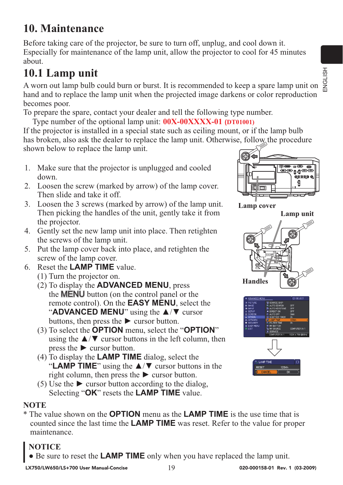### **10. Maintenance**

Before taking care of the projector, be sure to turn off, unplug, and cool down it. Especially for maintenance of the lamp unit, allow the projector to cool for 45 minutes about.

### **10.1 Lamp unit**

A worn out lamp bulb could burn or burst. It is recommended to keep a spare lamp unit on hand and to replace the lamp unit when the projected image darkens or color reproduction becomes poor.

To prepare the spare, contact your dealer and tell the following type number.

Type number of the optional lamp unit: **00X-00XXXX-01 (DT01001)**

If the projector is installed in a special state such as ceiling mount, or if the lamp bulb has broken, also ask the dealer to replace the lamp unit. Otherwise, follow the procedure shown below to replace the lamp unit.

- 1. Make sure that the projector is unplugged and cooled down.
- 2. Loosen the screw (marked by arrow) of the lamp cover. Then slide and take it off.
- 3. Loosen the 3 screws (marked by arrow) of the lamp unit. Then picking the handles of the unit, gently take it from the projector.
- 4. Gently set the new lamp unit into place. Then retighten the screws of the lamp unit.
- 5. Put the lamp cover back into place, and retighten the screw of the lamp cover.
- 6. Reset the **LAMP TIME** value.
	- (1) Turn the projector on.
	- (2) To display the **ADVANCED MENU**, press the MENU button (on the control panel or the remote control). On the **EASY MENU**, select the "**ADVANCED MENU**" using the ▲/▼ cursor buttons, then press the  $\triangleright$  cursor button.
	- (3) To select the **OPTION** menu, select the "**OPTION**" using the  $\triangle$ / $\triangledown$  cursor buttons in the left column, then press the  $\blacktriangleright$  cursor button.
	- (4) To display the **LAMP TIME** dialog, select the "**LAMP TIME**" using the ▲/▼ cursor buttons in the right column, then press the  $\triangleright$  cursor button.
	- (5) Use the  $\triangleright$  cursor button according to the dialog. Selecting "**OK**" resets the **LAMP TIME** value.

#### **NOTE**

\* The value shown on the **OPTION** menu as the **LAMP TIME** is the use time that is counted since the last time the **LAMP TIME** was reset. Refer to the value for proper maintenance.

#### **NOTICE**

Be sure to reset the **LAMP TIME** only when you have replaced the lamp unit.



**Lamp cover**



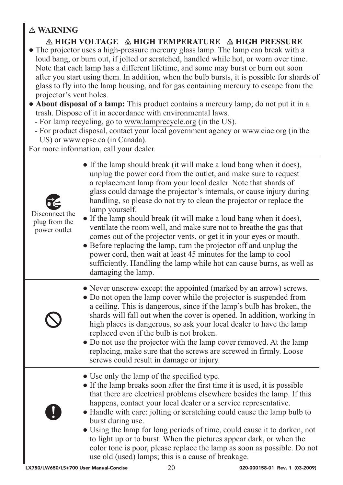#### **WARNING**

*A* **HIGH VOLTAGE A HIGH TEMPERATURE A HIGH PRESSURE** 

- The projector uses a high-pressure mercury glass lamp. The lamp can break with a loud bang, or burn out, if jolted or scratched, handled while hot, or worn over time. Note that each lamp has a different lifetime, and some may burst or burn out soon after you start using them. In addition, when the bulb bursts, it is possible for shards of glass to fly into the lamp housing, and for gas containing mercury to escape from the projector's vent holes.
- **About disposal of a lamp:** This product contains a mercury lamp; do not put it in a trash. Dispose of it in accordance with environmental laws.
	- For lamp recycling, go to www.lamprecycle.org (in the US).
	- For product disposal, contact your local government agency or www.eiae.org (in the US) or www.epsc.ca (in Canada).

For more information, call your dealer.

| $\frac{1}{2}$<br>Disconnect the<br>plug from the<br>power outlet | • If the lamp should break (it will make a loud bang when it does),<br>unplug the power cord from the outlet, and make sure to request<br>a replacement lamp from your local dealer. Note that shards of<br>glass could damage the projector's internals, or cause injury during<br>handling, so please do not try to clean the projector or replace the<br>lamp yourself.<br>• If the lamp should break (it will make a loud bang when it does),<br>ventilate the room well, and make sure not to breathe the gas that<br>comes out of the projector vents, or get it in your eyes or mouth.<br>• Before replacing the lamp, turn the projector off and unplug the<br>power cord, then wait at least 45 minutes for the lamp to cool<br>sufficiently. Handling the lamp while hot can cause burns, as well as<br>damaging the lamp. |
|------------------------------------------------------------------|--------------------------------------------------------------------------------------------------------------------------------------------------------------------------------------------------------------------------------------------------------------------------------------------------------------------------------------------------------------------------------------------------------------------------------------------------------------------------------------------------------------------------------------------------------------------------------------------------------------------------------------------------------------------------------------------------------------------------------------------------------------------------------------------------------------------------------------|
|                                                                  | • Never unscrew except the appointed (marked by an arrow) screws.<br>• Do not open the lamp cover while the projector is suspended from<br>a ceiling. This is dangerous, since if the lamp's bulb has broken, the<br>shards will fall out when the cover is opened. In addition, working in<br>high places is dangerous, so ask your local dealer to have the lamp<br>replaced even if the bulb is not broken.<br>• Do not use the projector with the lamp cover removed. At the lamp<br>replacing, make sure that the screws are screwed in firmly. Loose<br>screws could result in damage or injury.                                                                                                                                                                                                                               |
|                                                                  | • Use only the lamp of the specified type.<br>• If the lamp breaks soon after the first time it is used, it is possible<br>that there are electrical problems elsewhere besides the lamp. If this<br>happens, contact your local dealer or a service representative.<br>• Handle with care: jolting or scratching could cause the lamp bulb to<br>burst during use.<br>• Using the lamp for long periods of time, could cause it to darken, not<br>to light up or to burst. When the pictures appear dark, or when the<br>color tone is poor, please replace the lamp as soon as possible. Do not<br>use old (used) lamps; this is a cause of breakage.                                                                                                                                                                              |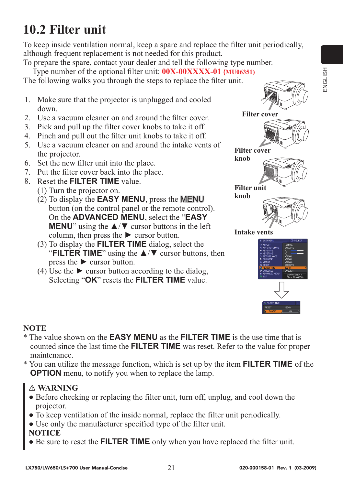## **10.2 Filter unit**

To keep inside ventilation normal, keep a spare and replace the filter unit periodically, although frequent replacement is not needed for this product.

To prepare the spare, contact your dealer and tell the following type number. Type number of the optional filter unit: **00X-00XXXX-01 (MU06351)**

The following walks you through the steps to replace the filter unit.

- 1. Make sure that the projector is unplugged and cooled down.
- 2. Use a vacuum cleaner on and around the filter cover.
- 3. Pick and pull up the filter cover knobs to take it off.
- 4. Pinch and pull out the filter unit knobs to take it off.
- 5. Use a vacuum cleaner on and around the intake vents of the projector.
- 6. Set the new filter unit into the place.
- 7. Put the filter cover back into the place.
- 8. Reset the **FILTER TIME** value.
	- (1) Turn the projector on.
	- (2) To display the **EASY MENU**, press the MENU button (on the control panel or the remote control). On the **ADVANCED MENU**, select the "**EASY MENU**" using the **A/V** cursor buttons in the left column, then press the  $\triangleright$  cursor button.
	- (3) To display the **FILTER TIME** dialog, select the "**FILTER TIME**" using the ▲/▼ cursor buttons, then press the ► cursor button.
	- (4) Use the  $\blacktriangleright$  cursor button according to the dialog, Selecting "**OK**" resets the **FILTER TIME** value.



#### **NOTE**

- \* The value shown on the **EASY MENU** as the **FILTER TIME** is the use time that is counted since the last time the **FILTER TIME** was reset. Refer to the value for proper maintenance.
- \* You can utilize the message function, which is set up by the item **FILTER TIME** of the **OPTION** menu, to notify you when to replace the lamp.

#### **WARNING**

- Before checking or replacing the filter unit, turn off, unplug, and cool down the projector.
- To keep ventilation of the inside normal, replace the filter unit periodically.
- Use only the manufacturer specified type of the filter unit.

#### **NOTICE**

● Be sure to reset the **FILTER TIME** only when you have replaced the filter unit.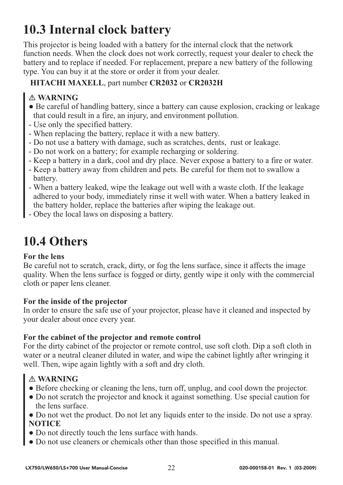## **10.3 Internal clock battery**

This projector is being loaded with a battery for the internal clock that the network function needs. When the clock does not work correctly, request your dealer to check the battery and to replace if needed. For replacement, prepare a new battery of the following type. You can buy it at the store or order it from your dealer.

#### **HITACHI MAXELL**, part number **CR2032** or **CR2032H**

#### **WARNING**

- Be careful of handling battery, since a battery can cause explosion, cracking or leakage that could result in a fire, an injury, and environment pollution.
- Use only the specified battery.
- When replacing the battery, replace it with a new battery.
- Do not use a battery with damage, such as scratches, dents, rust or leakage.
- Do not work on a battery; for example recharging or soldering.
- Keep a battery in a dark, cool and dry place. Never expose a battery to a fire or water.
- Keep a battery away from children and pets. Be careful for them not to swallow a battery.
- When a battery leaked, wipe the leakage out well with a waste cloth. If the leakage adhered to your body, immediately rinse it well with water. When a battery leaked in the battery holder, replace the batteries after wiping the leakage out.
- Obey the local laws on disposing a battery.

## **10.4 Others**

#### **For the lens**

Be careful not to scratch, crack, dirty, or fog the lens surface, since it affects the image quality. When the lens surface is fogged or dirty, gently wipe it only with the commercial cloth or paper lens cleaner.

#### **For the inside of the projector**

In order to ensure the safe use of your projector, please have it cleaned and inspected by your dealer about once every year.

#### **For the cabinet of the projector and remote control**

For the dirty cabinet of the projector or remote control, use soft cloth. Dip a soft cloth in water or a neutral cleaner diluted in water, and wipe the cabinet lightly after wringing it well. Then, wipe again lightly with a soft and dry cloth.

- Before checking or cleaning the lens, turn off, unplug, and cool down the projector.
- Do not scratch the projector and knock it against something. Use special caution for the lens surface.
- Do not wet the product. Do not let any liquids enter to the inside. Do not use a spray. **NOTICE**
- Do not directly touch the lens surface with hands.
- Do not use cleaners or chemicals other than those specified in this manual.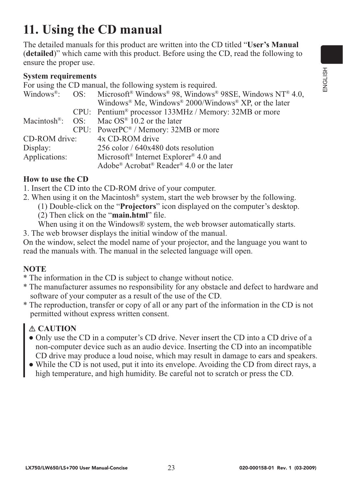## **11. Using the CD manual**

The detailed manuals for this product are written into the CD titled "**User's Manual** (**detailed**)" which came with this product. Before using the CD, read the following to ensure the proper use.

#### **System requirements**

For using the CD manual, the following system is required.

|               |  | Windows <sup>®</sup> : OS: Microsoft <sup>®</sup> Windows <sup>®</sup> 98, Windows® 98SE, Windows NT® 4.0, |
|---------------|--|------------------------------------------------------------------------------------------------------------|
|               |  | Windows <sup>®</sup> Me, Windows <sup>®</sup> 2000/Windows <sup>®</sup> XP, or the later                   |
|               |  | CPU: Pentium <sup>®</sup> processor 133MHz / Memory: 32MB or more                                          |
|               |  | Macintosh <sup>®</sup> : OS: Mac OS <sup>®</sup> 10.2 or the later                                         |
|               |  | $CPU: PowerPC^{\circledast} / Memory: 32MB$ or more                                                        |
| CD-ROM drive: |  | 4x CD-ROM drive                                                                                            |
| Display:      |  | 256 color / 640x480 dots resolution                                                                        |
| Applications: |  | Microsoft <sup>®</sup> Internet Explorer <sup>®</sup> 4.0 and                                              |
|               |  | Adobe® Acrobat® Reader® 4.0 or the later                                                                   |

#### **How to use the CD**

- 1. Insert the CD into the CD-ROM drive of your computer.
- 2. When using it on the Macintosh® system, start the web browser by the following.
	- (1) Double-click on the "**Projectors**" icon displayed on the computer's desktop.
	- (2) Then click on the "**main.html**" file.
	- When using it on the Windows® system, the web browser automatically starts.
- 3. The web browser displays the initial window of the manual.

On the window, select the model name of your projector, and the language you want to read the manuals with. The manual in the selected language will open.

#### **NOTE**

- \* The information in the CD is subject to change without notice.
- \* The manufacturer assumes no responsibility for any obstacle and defect to hardware and software of your computer as a result of the use of the CD.
- \* The reproduction, transfer or copy of all or any part of the information in the CD is not permitted without express written consent.

#### **CAUTION**

- Only use the CD in a computer's CD drive. Never insert the CD into a CD drive of a non-computer device such as an audio device. Inserting the CD into an incompatible CD drive may produce a loud noise, which may result in damage to ears and speakers.
- While the CD is not used, put it into its envelope. Avoiding the CD from direct rays, a high temperature, and high humidity. Be careful not to scratch or press the CD.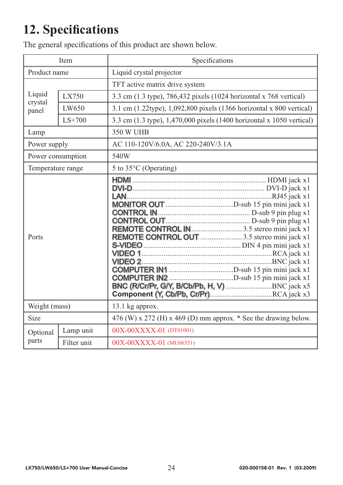## **12. Specifications**

The general specifications of this product are shown below.

|                            | Item        | Specifications                                                                                                                           |  |
|----------------------------|-------------|------------------------------------------------------------------------------------------------------------------------------------------|--|
| Product name               |             | Liquid crystal projector                                                                                                                 |  |
|                            |             | TFT active matrix drive system                                                                                                           |  |
| Liquid<br>crystal<br>panel | LX750       | 3.3 cm (1.3 type), 786,432 pixels (1024 horizontal x 768 vertical)                                                                       |  |
|                            | LW650       | 3.1 cm (1.22type), 1,092,800 pixels (1366 horizontal x 800 vertical)                                                                     |  |
|                            | $LS+700$    | 3.3 cm (1.3 type), 1,470,000 pixels (1400 horizontal x 1050 vertical)                                                                    |  |
| Lamp                       |             | 350 W UHB                                                                                                                                |  |
| Power supply               |             | AC 110-120V/6.0A, AC 220-240V/3.1A                                                                                                       |  |
| Power consumption          |             | 540W                                                                                                                                     |  |
| Temperature range          |             | 5 to 35°C (Operating)                                                                                                                    |  |
| Ports                      |             | REMOTE CONTROL IN 3.5 stereo mini jack x1<br>REMOTE CONTROL OUT 3.5 stereo mini jack x1<br>BNC (R/Cr/Pr, G/Y, B/Cb/Pb, H, V) BNC jack x5 |  |
| Weight (mass)              |             | 13.1 kg approx.                                                                                                                          |  |
| <b>Size</b>                |             | 476 (W) x 272 (H) x 469 (D) mm approx. $*$ See the drawing below.                                                                        |  |
| Optional<br>parts          | Lamp unit   | 00X-00XXXX-01 (DT01001)                                                                                                                  |  |
|                            | Filter unit | 00X-00XXXX-01 (MU06351)                                                                                                                  |  |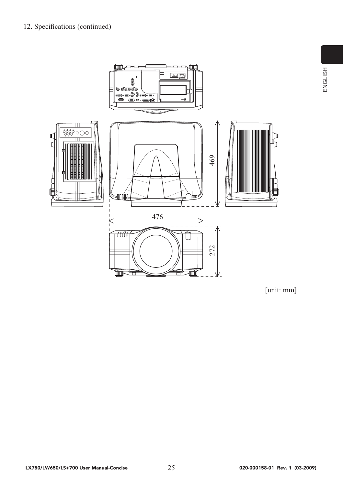

[unit: mm]